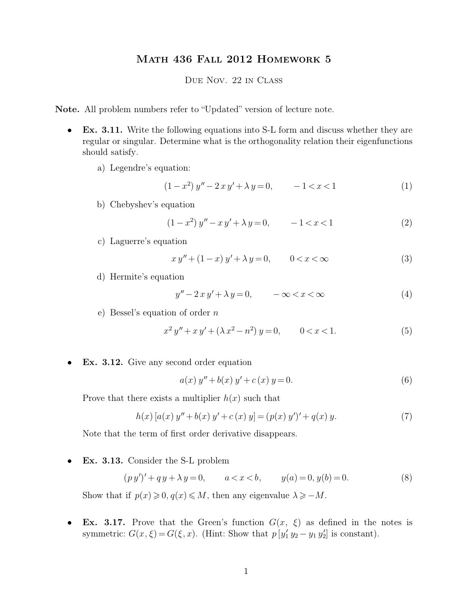## Math 436 Fall 2012 Homework 5

Due Nov. 22 in Class

**Note.** All problem numbers refer to "Updated" version of lecture note.

- **Ex. 3.11.** Write the following equations into S-L form and discuss whether they are regular or singular. Determine what is the orthogonality relation their eigenfunctions should satisfy.
	- a) Legendre's equation:

$$
(1 - x2) y'' - 2xy' + \lambda y = 0, -1 < x < 1
$$
 (1)

b) Chebyshev's equation

$$
(1 - x2) y'' - xy' + \lambda y = 0, -1 < x < 1
$$
 (2)

c) Laguerre's equation

$$
xy'' + (1 - x)y' + \lambda y = 0, \qquad 0 < x < \infty \tag{3}
$$

d) Hermite's equation

$$
y'' - 2xy' + \lambda y = 0, \qquad -\infty < x < \infty \tag{4}
$$

e) Bessel's equation of order n

$$
x^{2} y'' + x y' + (\lambda x^{2} - n^{2}) y = 0, \qquad 0 < x < 1.
$$
 (5)

• **Ex. 3.12.** Give any second order equation

$$
a(x) y'' + b(x) y' + c(x) y = 0.
$$
 (6)

Prove that there exists a multiplier  $h(x)$  such that

$$
h(x) [a(x) y'' + b(x) y' + c(x) y] = (p(x) y')' + q(x) y.
$$
\n(7)

Note that the term of first order derivative disappears.

• **Ex. 3.13.** Consider the S-L problem

$$
(py')' + qy + \lambda y = 0, \qquad a < x < b, \qquad y(a) = 0, y(b) = 0. \tag{8}
$$

Show that if  $p(x) \geq 0, q(x) \leq M$ , then any eigenvalue  $\lambda \geq -M$ .

• **Ex. 3.17.** Prove that the Green's function  $G(x, \xi)$  as defined in the notes is symmetric:  $G(x,\xi) = G(\xi, x)$ . (Hint: Show that  $p[y'_1 y'_2 - y_1 y'_2]$  is constant).